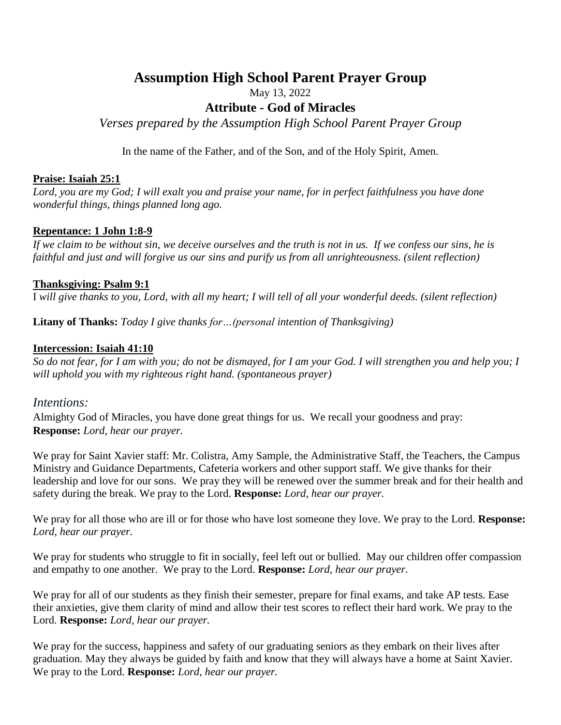# **Assumption High School Parent Prayer Group**

May 13, 2022

# **Attribute - God of Miracles**

*Verses prepared by the Assumption High School Parent Prayer Group*

In the name of the Father, and of the Son, and of the Holy Spirit, Amen.

#### **Praise: Isaiah 25:1**

Lord, you are my God; I will exalt you and praise your name, for in perfect faithfulness you have done *wonderful things, things planned long ago.*

## **Repentance: 1 John 1:8-9**

If we claim to be without sin, we deceive ourselves and the truth is not in us. If we confess our sins, he is faithful and just and will forgive us our sins and purify us from all unrighteousness. (silent reflection)

#### **Thanksgiving: Psalm 9:1**

I will give thanks to you, Lord, with all my heart; I will tell of all your wonderful deeds. (silent reflection)

**Litany of Thanks:** *Today I give thanks for…(personal intention of Thanksgiving)*

#### **Intercession: Isaiah 41:10**

So do not fear, for I am with you; do not be dismayed, for I am your God. I will strengthen you and help you; I *will uphold you with my righteous right hand. (spontaneous prayer)*

## *Intentions:*

Almighty God of Miracles, you have done great things for us. We recall your goodness and pray: **Response:** *Lord, hear our prayer.*

We pray for Saint Xavier staff: Mr. Colistra, Amy Sample, the Administrative Staff, the Teachers, the Campus Ministry and Guidance Departments, Cafeteria workers and other support staff. We give thanks for their leadership and love for our sons. We pray they will be renewed over the summer break and for their health and safety during the break. We pray to the Lord. **Response:** *Lord, hear our prayer.*

We pray for all those who are ill or for those who have lost someone they love. We pray to the Lord. **Response:** *Lord, hear our prayer.*

We pray for students who struggle to fit in socially, feel left out or bullied. May our children offer compassion and empathy to one another. We pray to the Lord. **Response:** *Lord, hear our prayer.*

We pray for all of our students as they finish their semester, prepare for final exams, and take AP tests. Ease their anxieties, give them clarity of mind and allow their test scores to reflect their hard work. We pray to the Lord. **Response:** *Lord, hear our prayer.*

We pray for the success, happiness and safety of our graduating seniors as they embark on their lives after graduation. May they always be guided by faith and know that they will always have a home at Saint Xavier. We pray to the Lord. **Response:** *Lord, hear our prayer.*